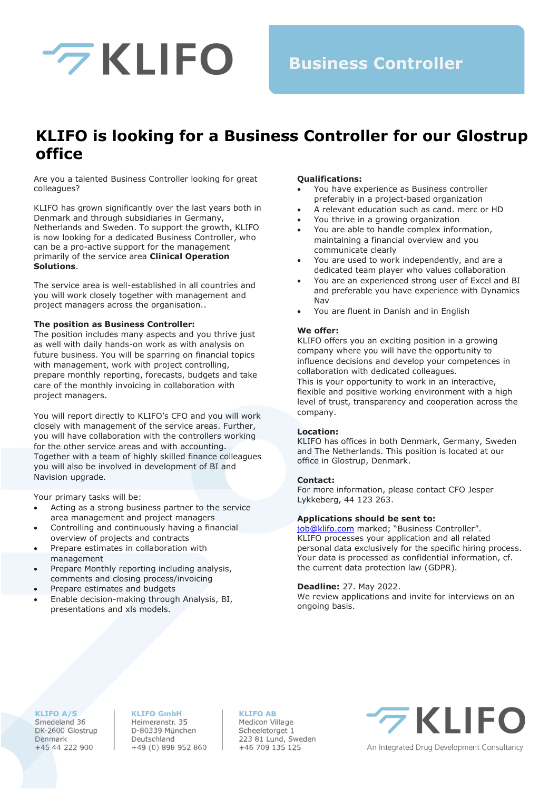

## **Business Controller**

## **KLIFO is looking for a Business Controller for our Glostrup office**

Are you a talented Business Controller looking for great colleagues?

KLIFO has grown significantly over the last years both in Denmark and through subsidiaries in Germany, Netherlands and Sweden. To support the growth, KLIFO is now looking for a dedicated Business Controller, who can be a pro-active support for the management primarily of the service area **Clinical Operation Solutions**.

The service area is well-established in all countries and you will work closely together with management and project managers across the organisation..

#### **The position as Business Controller:**

The position includes many aspects and you thrive just as well with daily hands-on work as with analysis on future business. You will be sparring on financial topics with management, work with project controlling, prepare monthly reporting, forecasts, budgets and take care of the monthly invoicing in collaboration with project managers.

You will report directly to KLIFO's CFO and you will work closely with management of the service areas. Further, you will have collaboration with the controllers working for the other service areas and with accounting. Together with a team of highly skilled finance colleagues you will also be involved in development of BI and Navision upgrade.

Your primary tasks will be:

- Acting as a strong business partner to the service area management and project managers
- Controlling and continuously having a financial overview of projects and contracts
- Prepare estimates in collaboration with management
- Prepare Monthly reporting including analysis, comments and closing process/invoicing
- Prepare estimates and budgets
- Enable decision-making through Analysis, BI, presentations and xls models.

#### **Qualifications:**

- You have experience as Business controller preferably in a project-based organization
- A relevant education such as cand. merc or HD
- You thrive in a growing organization
- You are able to handle complex information, maintaining a financial overview and you communicate clearly
- You are used to work independently, and are a dedicated team player who values collaboration
- You are an experienced strong user of Excel and BI and preferable you have experience with Dynamics Nav
- You are fluent in Danish and in English

#### **We offer:**

KLIFO offers you an exciting position in a growing company where you will have the opportunity to influence decisions and develop your competences in collaboration with dedicated colleagues.

This is your opportunity to work in an interactive, flexible and positive working environment with a high level of trust, transparency and cooperation across the company.

#### **Location:**

KLIFO has offices in both Denmark, Germany, Sweden and The Netherlands. This position is located at our office in Glostrup, Denmark.

#### **Contact:**

For more information, please contact CFO Jesper Lykkeberg, 44 123 263.

#### **Applications should be sent to:**

[job@klifo.com](mailto:job@klifo.com) marked; "Business Controller". KLIFO processes your application and all related personal data exclusively for the specific hiring process. Your data is processed as confidential information, cf. the current data protection law (GDPR).

#### **Deadline:** 27. May 2022.

We review applications and invite for interviews on an ongoing basis.

### **KLIFO A/S**

Smedeland 36 DK-2600 Glostrup Denmark +45 44 222 900

#### **KLIFO GmbH**

Heimeranstr. 35 D-80339 München Deutschland +49 (0) 898 952 860

#### **KLIFO AB**

Medicon Village Scheeletorget 1 223 81 Lund, Sweden +46 709 135 125

# **7 KLIFO**

An Integrated Drug Development Consultancy